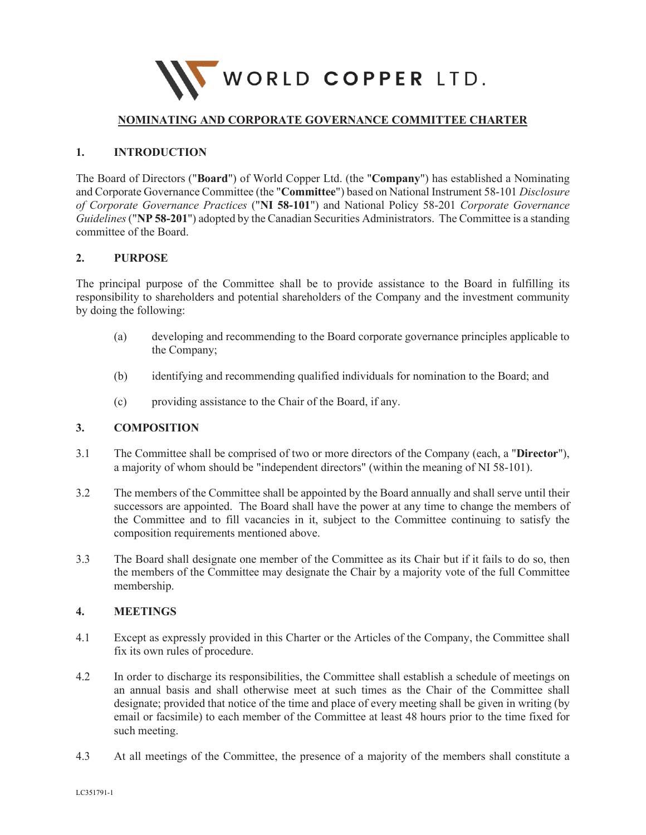

# **NOMINATING AND CORPORATE GOVERNANCE COMMITTEE CHARTER**

## **1. INTRODUCTION**

The Board of Directors ("**Board**") of World Copper Ltd. (the "**Company**") has established a Nominating and Corporate Governance Committee (the "**Committee**") based on National Instrument 58-101 *Disclosure of Corporate Governance Practices* ("**NI 58-101**") and National Policy 58-201 *Corporate Governance Guidelines*("**NP 58-201**") adopted by the Canadian Securities Administrators. The Committee is a standing committee of the Board.

## **2. PURPOSE**

The principal purpose of the Committee shall be to provide assistance to the Board in fulfilling its responsibility to shareholders and potential shareholders of the Company and the investment community by doing the following:

- (a) developing and recommending to the Board corporate governance principles applicable to the Company;
- (b) identifying and recommending qualified individuals for nomination to the Board; and
- (c) providing assistance to the Chair of the Board, if any.

#### **3. COMPOSITION**

- 3.1 The Committee shall be comprised of two or more directors of the Company (each, a "**Director**"), a majority of whom should be "independent directors" (within the meaning of NI 58-101).
- 3.2 The members of the Committee shall be appointed by the Board annually and shall serve until their successors are appointed. The Board shall have the power at any time to change the members of the Committee and to fill vacancies in it, subject to the Committee continuing to satisfy the composition requirements mentioned above.
- 3.3 The Board shall designate one member of the Committee as its Chair but if it fails to do so, then the members of the Committee may designate the Chair by a majority vote of the full Committee membership.

#### **4. MEETINGS**

- 4.1 Except as expressly provided in this Charter or the Articles of the Company, the Committee shall fix its own rules of procedure.
- 4.2 In order to discharge its responsibilities, the Committee shall establish a schedule of meetings on an annual basis and shall otherwise meet at such times as the Chair of the Committee shall designate; provided that notice of the time and place of every meeting shall be given in writing (by email or facsimile) to each member of the Committee at least 48 hours prior to the time fixed for such meeting.
- 4.3 At all meetings of the Committee, the presence of a majority of the members shall constitute a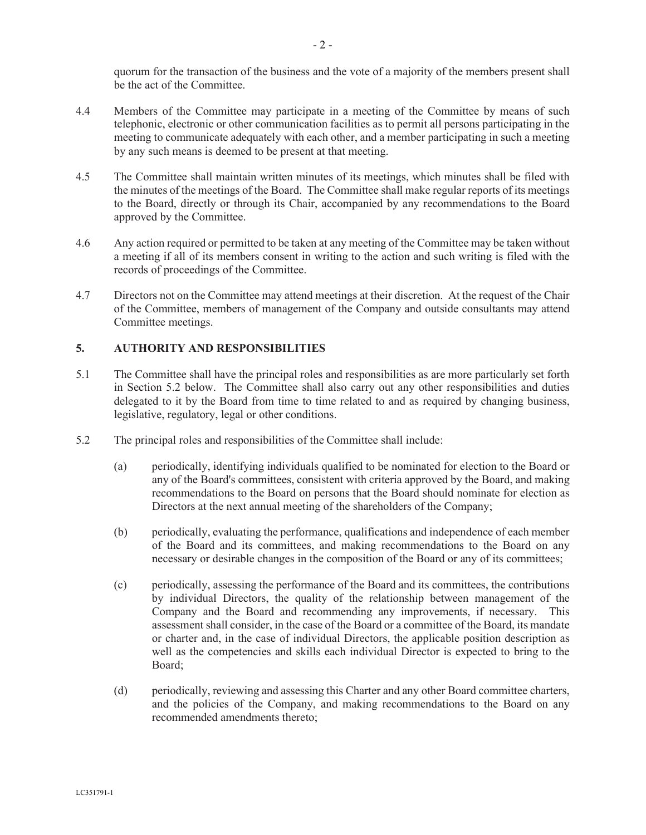quorum for the transaction of the business and the vote of a majority of the members present shall be the act of the Committee.

- 4.4 Members of the Committee may participate in a meeting of the Committee by means of such telephonic, electronic or other communication facilities as to permit all persons participating in the meeting to communicate adequately with each other, and a member participating in such a meeting by any such means is deemed to be present at that meeting.
- 4.5 The Committee shall maintain written minutes of its meetings, which minutes shall be filed with the minutes of the meetings of the Board. The Committee shall make regular reports of its meetings to the Board, directly or through its Chair, accompanied by any recommendations to the Board approved by the Committee.
- 4.6 Any action required or permitted to be taken at any meeting of the Committee may be taken without a meeting if all of its members consent in writing to the action and such writing is filed with the records of proceedings of the Committee.
- 4.7 Directors not on the Committee may attend meetings at their discretion. At the request of the Chair of the Committee, members of management of the Company and outside consultants may attend Committee meetings.

# **5. AUTHORITY AND RESPONSIBILITIES**

- 5.1 The Committee shall have the principal roles and responsibilities as are more particularly set forth in Section 5.2 below. The Committee shall also carry out any other responsibilities and duties delegated to it by the Board from time to time related to and as required by changing business, legislative, regulatory, legal or other conditions.
- 5.2 The principal roles and responsibilities of the Committee shall include:
	- (a) periodically, identifying individuals qualified to be nominated for election to the Board or any of the Board's committees, consistent with criteria approved by the Board, and making recommendations to the Board on persons that the Board should nominate for election as Directors at the next annual meeting of the shareholders of the Company;
	- (b) periodically, evaluating the performance, qualifications and independence of each member of the Board and its committees, and making recommendations to the Board on any necessary or desirable changes in the composition of the Board or any of its committees;
	- (c) periodically, assessing the performance of the Board and its committees, the contributions by individual Directors, the quality of the relationship between management of the Company and the Board and recommending any improvements, if necessary. This assessment shall consider, in the case of the Board or a committee of the Board, its mandate or charter and, in the case of individual Directors, the applicable position description as well as the competencies and skills each individual Director is expected to bring to the Board;
	- (d) periodically, reviewing and assessing this Charter and any other Board committee charters, and the policies of the Company, and making recommendations to the Board on any recommended amendments thereto;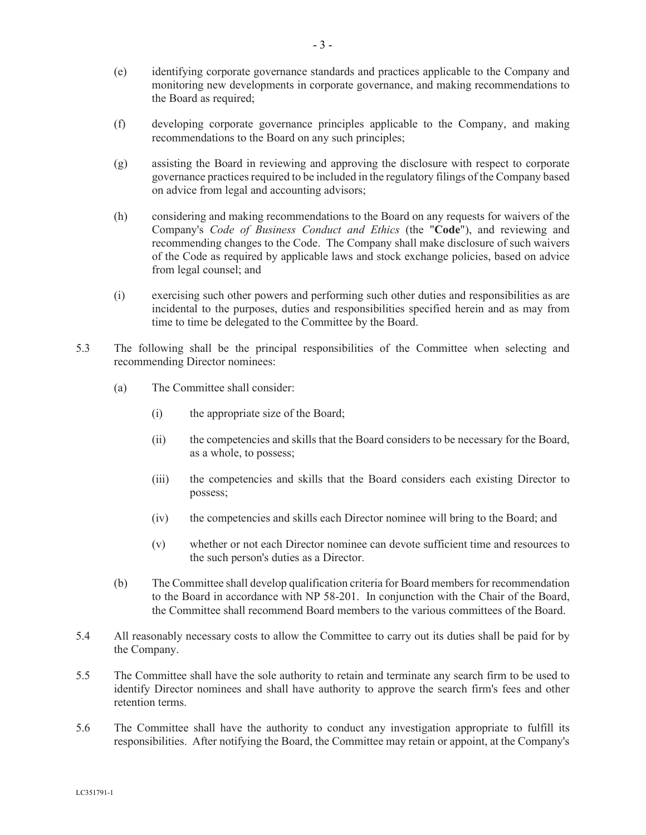- (e) identifying corporate governance standards and practices applicable to the Company and monitoring new developments in corporate governance, and making recommendations to the Board as required;
- (f) developing corporate governance principles applicable to the Company, and making recommendations to the Board on any such principles;
- (g) assisting the Board in reviewing and approving the disclosure with respect to corporate governance practices required to be included in the regulatory filings of the Company based on advice from legal and accounting advisors;
- (h) considering and making recommendations to the Board on any requests for waivers of the Company's *Code of Business Conduct and Ethics* (the "**Code**"), and reviewing and recommending changes to the Code. The Company shall make disclosure of such waivers of the Code as required by applicable laws and stock exchange policies, based on advice from legal counsel; and
- (i) exercising such other powers and performing such other duties and responsibilities as are incidental to the purposes, duties and responsibilities specified herein and as may from time to time be delegated to the Committee by the Board.
- 5.3 The following shall be the principal responsibilities of the Committee when selecting and recommending Director nominees:
	- (a) The Committee shall consider:
		- (i) the appropriate size of the Board;
		- (ii) the competencies and skills that the Board considers to be necessary for the Board, as a whole, to possess;
		- (iii) the competencies and skills that the Board considers each existing Director to possess;
		- (iv) the competencies and skills each Director nominee will bring to the Board; and
		- (v) whether or not each Director nominee can devote sufficient time and resources to the such person's duties as a Director.
	- (b) The Committee shall develop qualification criteria for Board members for recommendation to the Board in accordance with NP 58-201. In conjunction with the Chair of the Board, the Committee shall recommend Board members to the various committees of the Board.
- 5.4 All reasonably necessary costs to allow the Committee to carry out its duties shall be paid for by the Company.
- 5.5 The Committee shall have the sole authority to retain and terminate any search firm to be used to identify Director nominees and shall have authority to approve the search firm's fees and other retention terms.
- 5.6 The Committee shall have the authority to conduct any investigation appropriate to fulfill its responsibilities. After notifying the Board, the Committee may retain or appoint, at the Company's